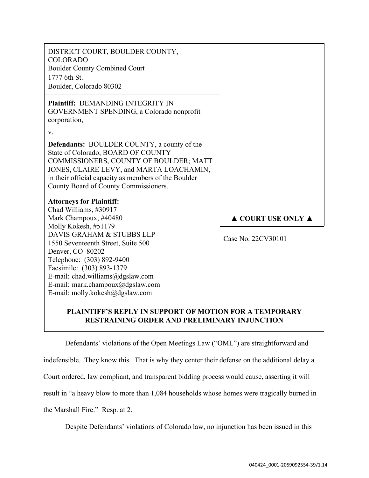| DISTRICT COURT, BOULDER COUNTY,<br><b>COLORADO</b><br><b>Boulder County Combined Court</b><br>1777 6th St.<br>Boulder, Colorado 80302                                                                                                                                            |                                        |
|----------------------------------------------------------------------------------------------------------------------------------------------------------------------------------------------------------------------------------------------------------------------------------|----------------------------------------|
| <b>Plaintiff: DEMANDING INTEGRITY IN</b><br>GOVERNMENT SPENDING, a Colorado nonprofit<br>corporation,<br>V.                                                                                                                                                                      |                                        |
| <b>Defendants: BOULDER COUNTY, a county of the</b><br>State of Colorado; BOARD OF COUNTY<br>COMMISSIONERS, COUNTY OF BOULDER; MATT<br>JONES, CLAIRE LEVY, and MARTA LOACHAMIN,<br>in their official capacity as members of the Boulder<br>County Board of County Commissioners.  |                                        |
| <b>Attorneys for Plaintiff:</b><br>Chad Williams, #30917<br>Mark Champoux, #40480                                                                                                                                                                                                | $\triangle$ COURT USE ONLY $\triangle$ |
| Molly Kokesh, #51179<br>DAVIS GRAHAM & STUBBS LLP<br>1550 Seventeenth Street, Suite 500<br>Denver, CO 80202<br>Telephone: (303) 892-9400<br>Facsimile: (303) 893-1379<br>E-mail: chad.williams@dgslaw.com<br>E-mail: mark.champoux@dgslaw.com<br>E-mail: molly.kokesh@dgslaw.com | Case No. 22CV30101                     |

## **PLAINTIFF'S REPLY IN SUPPORT OF MOTION FOR A TEMPORARY RESTRAINING ORDER AND PRELIMINARY INJUNCTION**

Defendants' violations of the Open Meetings Law ("OML") are straightforward and indefensible. They know this. That is why they center their defense on the additional delay a Court ordered, law compliant, and transparent bidding process would cause, asserting it will result in "a heavy blow to more than 1,084 households whose homes were tragically burned in the Marshall Fire." Resp. at 2.

Despite Defendants' violations of Colorado law, no injunction has been issued in this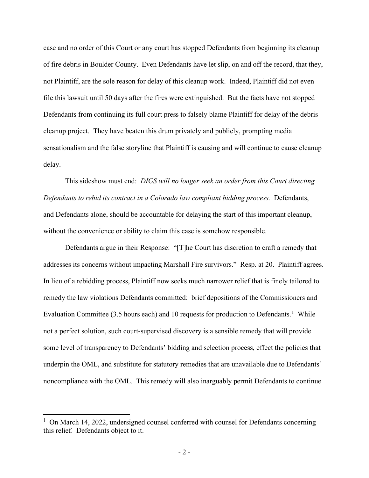case and no order of this Court or any court has stopped Defendants from beginning its cleanup of fire debris in Boulder County. Even Defendants have let slip, on and off the record, that they, not Plaintiff, are the sole reason for delay of this cleanup work. Indeed, Plaintiff did not even file this lawsuit until 50 days after the fires were extinguished. But the facts have not stopped Defendants from continuing its full court press to falsely blame Plaintiff for delay of the debris cleanup project. They have beaten this drum privately and publicly, prompting media sensationalism and the false storyline that Plaintiff is causing and will continue to cause cleanup delay.

This sideshow must end: *DIGS will no longer seek an order from this Court directing Defendants to rebid its contract in a Colorado law compliant bidding process.* Defendants, and Defendants alone, should be accountable for delaying the start of this important cleanup, without the convenience or ability to claim this case is somehow responsible.

Defendants argue in their Response: "[T]he Court has discretion to craft a remedy that addresses its concerns without impacting Marshall Fire survivors." Resp. at 20. Plaintiff agrees. In lieu of a rebidding process, Plaintiff now seeks much narrower relief that is finely tailored to remedy the law violations Defendants committed: brief depositions of the Commissioners and Evaluation Committee (3.5 hours each) and 10 requests for production to Defendants.<sup>1</sup> While not a perfect solution, such court-supervised discovery is a sensible remedy that will provide some level of transparency to Defendants' bidding and selection process, effect the policies that underpin the OML, and substitute for statutory remedies that are unavailable due to Defendants' noncompliance with the OML. This remedy will also inarguably permit Defendants to continue

<sup>&</sup>lt;sup>1</sup> On March 14, 2022, undersigned counsel conferred with counsel for Defendants concerning this relief. Defendants object to it.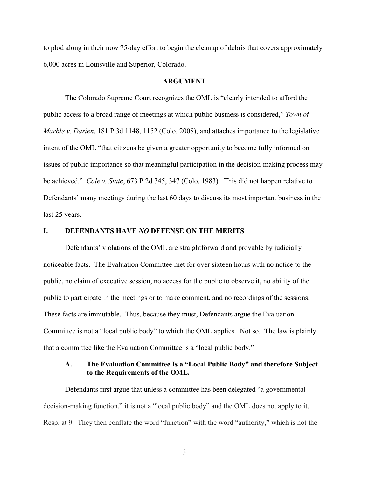to plod along in their now 75-day effort to begin the cleanup of debris that covers approximately 6,000 acres in Louisville and Superior, Colorado.

#### **ARGUMENT**

The Colorado Supreme Court recognizes the OML is "clearly intended to afford the public access to a broad range of meetings at which public business is considered," *Town of Marble v. Darien*, 181 P.3d 1148, 1152 (Colo. 2008), and attaches importance to the legislative intent of the OML "that citizens be given a greater opportunity to become fully informed on issues of public importance so that meaningful participation in the decision-making process may be achieved." *Cole v. State*, 673 P.2d 345, 347 (Colo. 1983). This did not happen relative to Defendants' many meetings during the last 60 days to discuss its most important business in the last 25 years.

#### **I. DEFENDANTS HAVE** *NO* **DEFENSE ON THE MERITS**

Defendants' violations of the OML are straightforward and provable by judicially noticeable facts. The Evaluation Committee met for over sixteen hours with no notice to the public, no claim of executive session, no access for the public to observe it, no ability of the public to participate in the meetings or to make comment, and no recordings of the sessions. These facts are immutable. Thus, because they must, Defendants argue the Evaluation Committee is not a "local public body" to which the OML applies. Not so. The law is plainly that a committee like the Evaluation Committee is a "local public body."

### **A. The Evaluation Committee Is a "Local Public Body" and therefore Subject to the Requirements of the OML.**

Defendants first argue that unless a committee has been delegated "a governmental decision-making function," it is not a "local public body" and the OML does not apply to it. Resp. at 9. They then conflate the word "function" with the word "authority," which is not the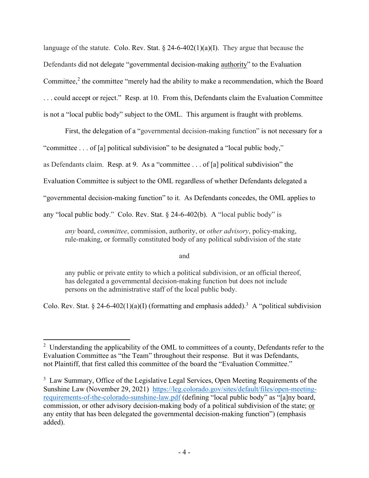language of the statute. Colo. Rev. Stat.  $\S 24-6-402(1)(a)(I)$ . They argue that because the Defendants did not delegate "governmental decision-making authority" to the Evaluation Committee,<sup>2</sup> the committee "merely had the ability to make a recommendation, which the Board . . . could accept or reject." Resp. at 10. From this, Defendants claim the Evaluation Committee is not a "local public body" subject to the OML. This argument is fraught with problems.

First, the delegation of a "governmental decision-making function" is not necessary for a "committee . . . of [a] political subdivision" to be designated a "local public body," as Defendants claim. Resp. at 9. As a "committee . . . of [a] political subdivision" the Evaluation Committee is subject to the OML regardless of whether Defendants delegated a "governmental decision-making function" to it. As Defendants concedes, the OML applies to any "local public body." Colo. Rev. Stat. § 24-6-402(b). A "local public body" is

*any* board, *committee*, commission, authority, or *other advisory*, policy-making, rule-making, or formally constituted body of any political subdivision of the state

and

any public or private entity to which a political subdivision, or an official thereof, has delegated a governmental decision-making function but does not include persons on the administrative staff of the local public body.

Colo. Rev. Stat. § 24-6-402(1)(a)(I) (formatting and emphasis added).<sup>3</sup> A "political subdivision

 $2$  Understanding the applicability of the OML to committees of a county, Defendants refer to the Evaluation Committee as "the Team" throughout their response. But it was Defendants, not Plaintiff, that first called this committee of the board the "Evaluation Committee."

<sup>&</sup>lt;sup>3</sup> Law Summary, Office of the Legislative Legal Services, Open Meeting Requirements of the Sunshine Law (November 29, 2021) https://leg.colorado.gov/sites/default/files/open-meetingrequirements-of-the-colorado-sunshine-law.pdf (defining "local public body" as "[a]ny board, commission, or other advisory decision-making body of a political subdivision of the state; or any entity that has been delegated the governmental decision-making function") (emphasis added).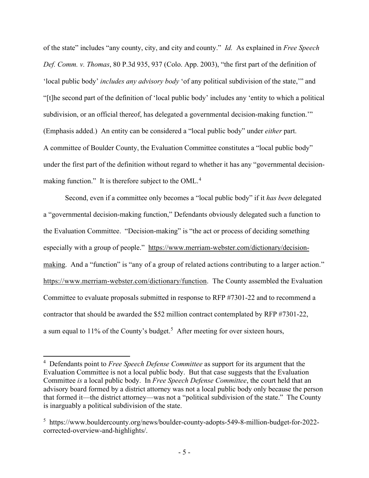of the state" includes "any county, city, and city and county." *Id.* As explained in *Free Speech Def. Comm. v. Thomas*, 80 P.3d 935, 937 (Colo. App. 2003), "the first part of the definition of 'local public body' *includes any advisory body* 'of any political subdivision of the state,'" and "[t]he second part of the definition of 'local public body' includes any 'entity to which a political subdivision, or an official thereof, has delegated a governmental decision-making function." (Emphasis added.) An entity can be considered a "local public body" under *either* part. A committee of Boulder County, the Evaluation Committee constitutes a "local public body" under the first part of the definition without regard to whether it has any "governmental decisionmaking function." It is therefore subject to the OML.<sup>4</sup>

Second, even if a committee only becomes a "local public body" if it *has been* delegated a "governmental decision-making function," Defendants obviously delegated such a function to the Evaluation Committee. "Decision-making" is "the act or process of deciding something especially with a group of people." https://www.merriam-webster.com/dictionary/decisionmaking. And a "function" is "any of a group of related actions contributing to a larger action." https://www.merriam-webster.com/dictionary/function. The County assembled the Evaluation Committee to evaluate proposals submitted in response to RFP #7301-22 and to recommend a contractor that should be awarded the \$52 million contract contemplated by RFP #7301-22, a sum equal to  $11\%$  of the County's budget.<sup>5</sup> After meeting for over sixteen hours,

<sup>4</sup> Defendants point to *Free Speech Defense Committee* as support for its argument that the Evaluation Committee is not a local public body. But that case suggests that the Evaluation Committee *is* a local public body. In *Free Speech Defense Committee*, the court held that an advisory board formed by a district attorney was not a local public body only because the person that formed it—the district attorney—was not a "political subdivision of the state." The County is inarguably a political subdivision of the state.

<sup>5</sup> https://www.bouldercounty.org/news/boulder-county-adopts-549-8-million-budget-for-2022 corrected-overview-and-highlights/.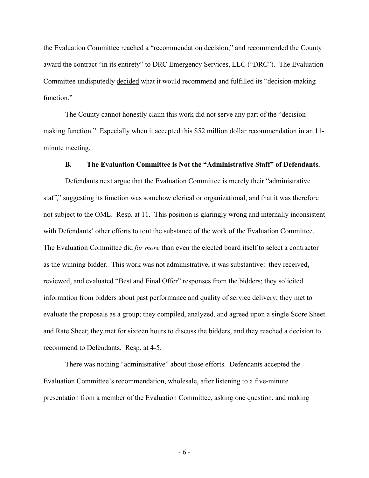the Evaluation Committee reached a "recommendation decision," and recommended the County award the contract "in its entirety" to DRC Emergency Services, LLC ("DRC"). The Evaluation Committee undisputedly decided what it would recommend and fulfilled its "decision-making function."

The County cannot honestly claim this work did not serve any part of the "decisionmaking function." Especially when it accepted this \$52 million dollar recommendation in an 11 minute meeting.

#### **B. The Evaluation Committee is Not the "Administrative Staff" of Defendants.**

Defendants next argue that the Evaluation Committee is merely their "administrative staff," suggesting its function was somehow clerical or organizational, and that it was therefore not subject to the OML. Resp. at 11. This position is glaringly wrong and internally inconsistent with Defendants' other efforts to tout the substance of the work of the Evaluation Committee. The Evaluation Committee did *far more* than even the elected board itself to select a contractor as the winning bidder. This work was not administrative, it was substantive: they received, reviewed, and evaluated "Best and Final Offer" responses from the bidders; they solicited information from bidders about past performance and quality of service delivery; they met to evaluate the proposals as a group; they compiled, analyzed, and agreed upon a single Score Sheet and Rate Sheet; they met for sixteen hours to discuss the bidders, and they reached a decision to recommend to Defendants. Resp. at 4-5.

There was nothing "administrative" about those efforts. Defendants accepted the Evaluation Committee's recommendation, wholesale, after listening to a five-minute presentation from a member of the Evaluation Committee, asking one question, and making

- 6 -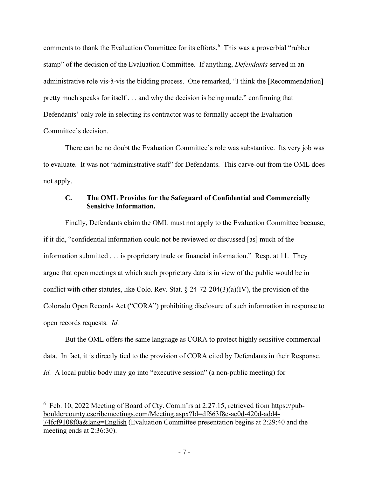comments to thank the Evaluation Committee for its efforts.<sup>6</sup> This was a proverbial "rubber stamp" of the decision of the Evaluation Committee. If anything, *Defendants* served in an administrative role vis-à-vis the bidding process. One remarked, "I think the [Recommendation] pretty much speaks for itself . . . and why the decision is being made," confirming that Defendants' only role in selecting its contractor was to formally accept the Evaluation Committee's decision.

There can be no doubt the Evaluation Committee's role was substantive. Its very job was to evaluate. It was not "administrative staff" for Defendants. This carve-out from the OML does not apply.

### **C. The OML Provides for the Safeguard of Confidential and Commercially Sensitive Information.**

Finally, Defendants claim the OML must not apply to the Evaluation Committee because, if it did, "confidential information could not be reviewed or discussed [as] much of the information submitted . . . is proprietary trade or financial information." Resp. at 11. They argue that open meetings at which such proprietary data is in view of the public would be in conflict with other statutes, like Colo. Rev. Stat.  $\S$  24-72-204(3)(a)(IV), the provision of the Colorado Open Records Act ("CORA") prohibiting disclosure of such information in response to open records requests. *Id.*

But the OML offers the same language as CORA to protect highly sensitive commercial data. In fact, it is directly tied to the provision of CORA cited by Defendants in their Response. *Id.* A local public body may go into "executive session" (a non-public meeting) for

 $6$  Feb. 10, 2022 Meeting of Board of Cty. Comm'rs at 2:27:15, retrieved from https://pubbouldercounty.escribemeetings.com/Meeting.aspx?Id=df663f8c-ae0d-420d-add4- 74fcf9108f0a&lang=English (Evaluation Committee presentation begins at 2:29:40 and the meeting ends at 2:36:30).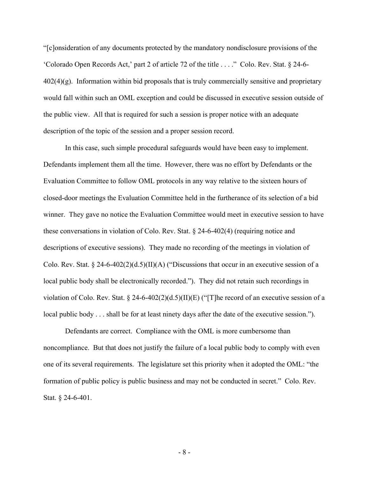"[c]onsideration of any documents protected by the mandatory nondisclosure provisions of the 'Colorado Open Records Act,' part 2 of article 72 of the title . . . ." Colo. Rev. Stat. § 24-6-  $402(4)(g)$ . Information within bid proposals that is truly commercially sensitive and proprietary would fall within such an OML exception and could be discussed in executive session outside of the public view. All that is required for such a session is proper notice with an adequate description of the topic of the session and a proper session record.

In this case, such simple procedural safeguards would have been easy to implement. Defendants implement them all the time. However, there was no effort by Defendants or the Evaluation Committee to follow OML protocols in any way relative to the sixteen hours of closed-door meetings the Evaluation Committee held in the furtherance of its selection of a bid winner. They gave no notice the Evaluation Committee would meet in executive session to have these conversations in violation of Colo. Rev. Stat. § 24-6-402(4) (requiring notice and descriptions of executive sessions). They made no recording of the meetings in violation of Colo. Rev. Stat.  $\S 24-6-402(2)(d.5)(II)(A)$  ("Discussions that occur in an executive session of a local public body shall be electronically recorded."). They did not retain such recordings in violation of Colo. Rev. Stat. § 24-6-402(2)(d.5)(II)(E) ("[T]he record of an executive session of a local public body . . . shall be for at least ninety days after the date of the executive session.").

Defendants are correct. Compliance with the OML is more cumbersome than noncompliance. But that does not justify the failure of a local public body to comply with even one of its several requirements. The legislature set this priority when it adopted the OML: "the formation of public policy is public business and may not be conducted in secret." Colo. Rev. Stat. § 24-6-401.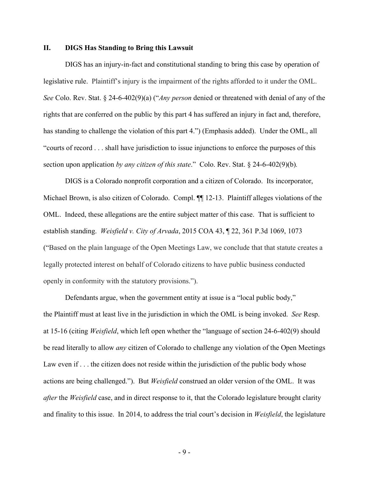### **II. DIGS Has Standing to Bring this Lawsuit**

DIGS has an injury-in-fact and constitutional standing to bring this case by operation of legislative rule. Plaintiff's injury is the impairment of the rights afforded to it under the OML. *See* Colo. Rev. Stat. § 24-6-402(9)(a) ("*Any person* denied or threatened with denial of any of the rights that are conferred on the public by this part 4 has suffered an injury in fact and, therefore, has standing to challenge the violation of this part 4.") (Emphasis added). Under the OML, all "courts of record . . . shall have jurisdiction to issue injunctions to enforce the purposes of this section upon application *by any citizen of this state*." Colo. Rev. Stat. § 24-6-402(9)(b)*.*

DIGS is a Colorado nonprofit corporation and a citizen of Colorado. Its incorporator, Michael Brown, is also citizen of Colorado. Compl. ¶¶ 12-13. Plaintiff alleges violations of the OML. Indeed, these allegations are the entire subject matter of this case. That is sufficient to establish standing. *Weisfield v. City of Arvada*, 2015 COA 43, ¶ 22, 361 P.3d 1069, 1073 ("Based on the plain language of the Open Meetings Law, we conclude that that statute creates a legally protected interest on behalf of Colorado citizens to have public business conducted openly in conformity with the statutory provisions.").

Defendants argue, when the government entity at issue is a "local public body," the Plaintiff must at least live in the jurisdiction in which the OML is being invoked. *See* Resp. at 15-16 (citing *Weisfield*, which left open whether the "language of section 24-6-402(9) should be read literally to allow *any* citizen of Colorado to challenge any violation of the Open Meetings Law even if . . . the citizen does not reside within the jurisdiction of the public body whose actions are being challenged."). But *Weisfield* construed an older version of the OML. It was *after* the *Weisfield* case, and in direct response to it, that the Colorado legislature brought clarity and finality to this issue. In 2014, to address the trial court's decision in *Weisfield*, the legislature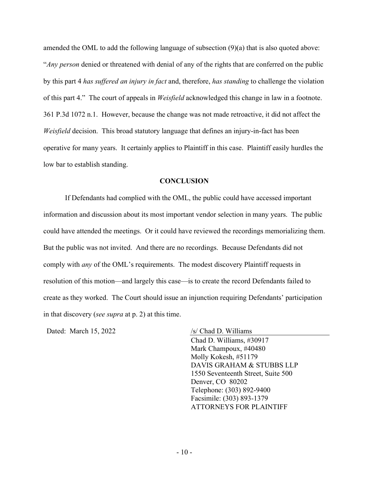amended the OML to add the following language of subsection (9)(a) that is also quoted above: "*Any person* denied or threatened with denial of any of the rights that are conferred on the public by this part 4 *has suffered an injury in fact* and, therefore, *has standing* to challenge the violation of this part 4." The court of appeals in *Weisfield* acknowledged this change in law in a footnote. 361 P.3d 1072 n.1. However, because the change was not made retroactive, it did not affect the *Weisfield* decision. This broad statutory language that defines an injury-in-fact has been operative for many years. It certainly applies to Plaintiff in this case. Plaintiff easily hurdles the low bar to establish standing.

#### **CONCLUSION**

If Defendants had complied with the OML, the public could have accessed important information and discussion about its most important vendor selection in many years. The public could have attended the meetings. Or it could have reviewed the recordings memorializing them. But the public was not invited. And there are no recordings. Because Defendants did not comply with *any* of the OML's requirements. The modest discovery Plaintiff requests in resolution of this motion—and largely this case—is to create the record Defendants failed to create as they worked. The Court should issue an injunction requiring Defendants' participation in that discovery (*see supra* at p. 2) at this time.

Dated: March 15, 2022 /s/ Chad D. Williams

Chad D. Williams, #30917

Mark Champoux, #40480 Molly Kokesh, #51179 DAVIS GRAHAM & STUBBS LLP 1550 Seventeenth Street, Suite 500 Denver, CO 80202 Telephone: (303) 892-9400 Facsimile: (303) 893-1379 ATTORNEYS FOR PLAINTIFF